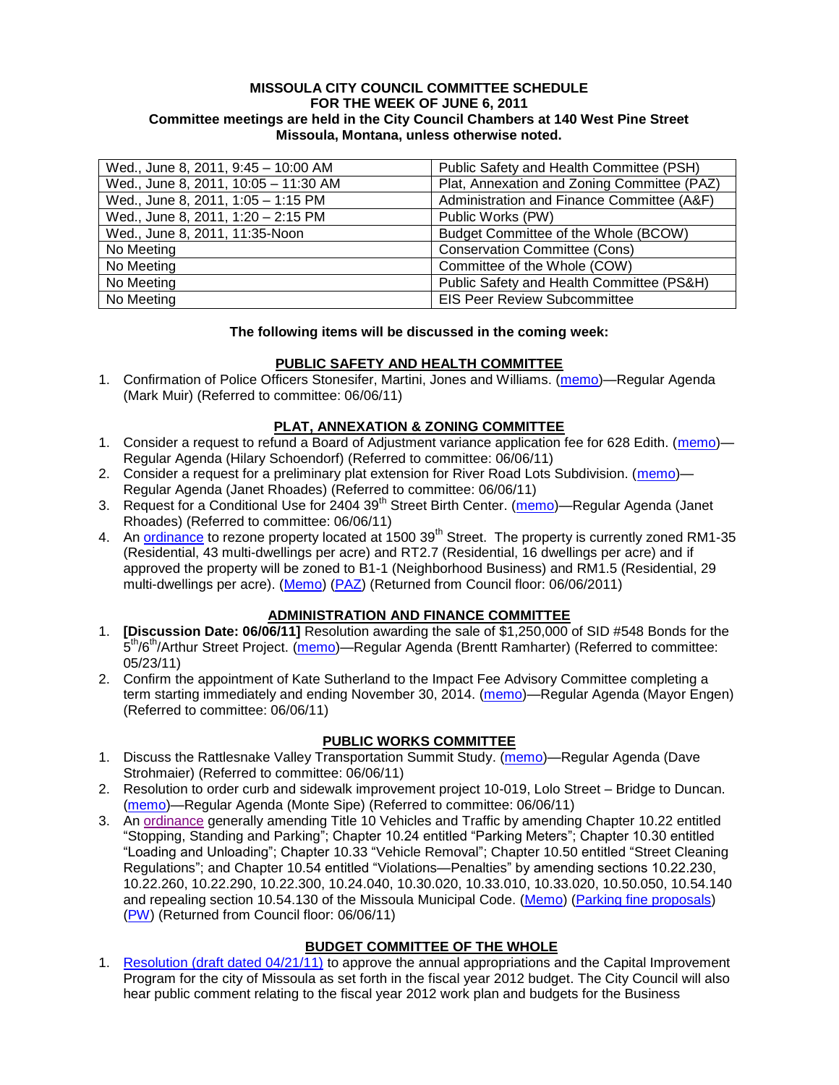#### **MISSOULA CITY COUNCIL COMMITTEE SCHEDULE FOR THE WEEK OF JUNE 6, 2011 Committee meetings are held in the City Council Chambers at 140 West Pine Street Missoula, Montana, unless otherwise noted.**

| Wed., June 8, 2011, 9:45 - 10:00 AM  | Public Safety and Health Committee (PSH)    |
|--------------------------------------|---------------------------------------------|
| Wed., June 8, 2011, 10:05 - 11:30 AM | Plat, Annexation and Zoning Committee (PAZ) |
| Wed., June 8, 2011, 1:05 - 1:15 PM   | Administration and Finance Committee (A&F)  |
| Wed., June 8, 2011, 1:20 - 2:15 PM   | Public Works (PW)                           |
| Wed., June 8, 2011, 11:35-Noon       | Budget Committee of the Whole (BCOW)        |
| No Meeting                           | <b>Conservation Committee (Cons)</b>        |
| No Meeting                           | Committee of the Whole (COW)                |
| No Meeting                           | Public Safety and Health Committee (PS&H)   |
| No Meeting                           | <b>EIS Peer Review Subcommittee</b>         |

#### **The following items will be discussed in the coming week:**

## **PUBLIC SAFETY AND HEALTH COMMITTEE**

1. Confirmation of Police Officers Stonesifer, Martini, Jones and Williams. [\(memo\)](http://www.ci.missoula.mt.us/DocumentView.aspx?DID=6528)—Regular Agenda (Mark Muir) (Referred to committee: 06/06/11)

### **PLAT, ANNEXATION & ZONING COMMITTEE**

- 1. Consider a request to refund a Board of Adjustment variance application fee for 628 Edith. [\(memo\)](http://www.ci.missoula.mt.us/DocumentView.aspx?DID=6546) Regular Agenda (Hilary Schoendorf) (Referred to committee: 06/06/11)
- 2. Consider a request for a preliminary plat extension for River Road Lots Subdivision. [\(memo\)](http://www.ci.missoula.mt.us/DocumentView.aspx?DID=6534)-Regular Agenda (Janet Rhoades) (Referred to committee: 06/06/11)
- 3. Request for a Conditional Use for 2404 39<sup>th</sup> Street Birth Center. [\(memo\)](http://www.ci.missoula.mt.us/DocumentView.aspx?DID=6544)—Regular Agenda (Janet Rhoades) (Referred to committee: 06/06/11)
- 4. An [ordinance](http://www.ci.missoula.mt.us/DocumentView.aspx?DID=6463) to rezone property located at 1500 39<sup>th</sup> Street. The property is currently zoned RM1-35 (Residential, 43 multi-dwellings per acre) and RT2.7 (Residential, 16 dwellings per acre) and if approved the property will be zoned to B1-1 (Neighborhood Business) and RM1.5 (Residential, 29 multi-dwellings per acre). [\(Memo\)](http://www.ci.missoula.mt.us/DocumentView.aspx?DID=6469) [\(PAZ\)](http://www.ci.missoula.mt.us/Archive.aspx?ADID=4010) (Returned from Council floor: 06/06/2011)

#### **ADMINISTRATION AND FINANCE COMMITTEE**

- 1. **[Discussion Date: 06/06/11]** Resolution awarding the sale of \$1,250,000 of SID #548 Bonds for the 5<sup>th</sup>/6<sup>th</sup>/Arthur Street Project. [\(memo\)](http://www.ci.missoula.mt.us/DocumentView.aspx?DID=6476)—Regular Agenda (Brentt Ramharter) (Referred to committee: 05/23/11)
- 2. Confirm the appointment of Kate Sutherland to the Impact Fee Advisory Committee completing a term starting immediately and ending November 30, 2014. [\(memo\)](http://www.ci.missoula.mt.us/DocumentView.aspx?DID=6535)—Regular Agenda (Mayor Engen) (Referred to committee: 06/06/11)

## **PUBLIC WORKS COMMITTEE**

- 1. Discuss the Rattlesnake Valley Transportation Summit Study. [\(memo\)](http://www.ci.missoula.mt.us/DocumentView.aspx?DID=6529)—Regular Agenda (Dave Strohmaier) (Referred to committee: 06/06/11)
- 2. Resolution to order curb and sidewalk improvement project 10-019, Lolo Street Bridge to Duncan. [\(memo\)](http://www.ci.missoula.mt.us/DocumentView.aspx?DID=6545)—Regular Agenda (Monte Sipe) (Referred to committee: 06/06/11)
- 3. An [ordinance](http://www.ci.missoula.mt.us/DocumentView.aspx?DID=6057) generally amending Title 10 Vehicles and Traffic by amending Chapter 10.22 entitled "Stopping, Standing and Parking"; Chapter 10.24 entitled "Parking Meters"; Chapter 10.30 entitled "Loading and Unloading"; Chapter 10.33 "Vehicle Removal"; Chapter 10.50 entitled "Street Cleaning Regulations"; and Chapter 10.54 entitled "Violations—Penalties" by amending sections 10.22.230, 10.22.260, 10.22.290, 10.22.300, 10.24.040, 10.30.020, 10.33.010, 10.33.020, 10.50.050, 10.54.140 and repealing section 10.54.130 of the Missoula Municipal Code. [\(Memo\)](http://www.ci.missoula.mt.us/DocumentView.aspx?DID=6329) [\(Parking fine proposals\)](http://www.ci.missoula.mt.us/DocumentView.aspx?DID=6327) [\(PW\)](http://www.ci.missoula.mt.us/Archive.aspx?ADID=3911) (Returned from Council floor: 06/06/11)

## **BUDGET COMMITTEE OF THE WHOLE**

1. [Resolution \(draft dated 04/21/11\)](http://www.ci.missoula.mt.us/DocumentView.aspx?DID=6242) to approve the annual appropriations and the Capital Improvement Program for the city of Missoula as set forth in the fiscal year 2012 budget. The City Council will also hear public comment relating to the fiscal year 2012 work plan and budgets for the Business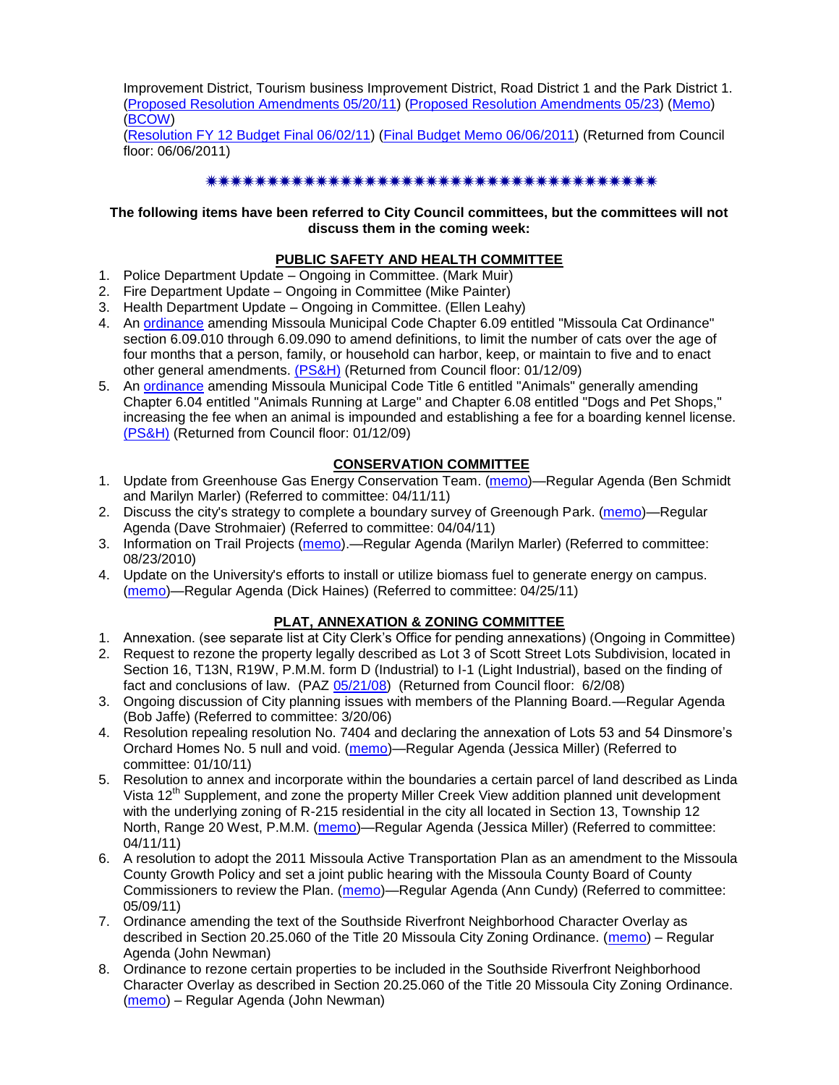Improvement District, Tourism business Improvement District, Road District 1 and the Park District 1. [\(Proposed Resolution Amendments 05/20/11\)](http://www.ci.missoula.mt.us/DocumentView.aspx?DID=6468) [\(Proposed Resolution Amendments 05/23\)](http://www.ci.missoula.mt.us/DocumentView.aspx?DID=6497) [\(Memo\)](http://www.ci.missoula.mt.us/DocumentView.aspx?DID=6255) [\(BCOW\)](http://www.ci.missoula.mt.us/Archive.aspx?ADID=3908)

[\(Resolution FY 12 Budget Final 06/02/11\)](http://www.ci.missoula.mt.us/DocumentView.aspx?DID=6530) [\(Final Budget Memo 06/06/2011\)](http://www.ci.missoula.mt.us/DocumentView.aspx?DID=6549) (Returned from Council floor: 06/06/2011)

### 

#### **The following items have been referred to City Council committees, but the committees will not discuss them in the coming week:**

#### **PUBLIC SAFETY AND HEALTH COMMITTEE**

- 1. Police Department Update Ongoing in Committee. (Mark Muir)
- 2. Fire Department Update Ongoing in Committee (Mike Painter)
- 3. Health Department Update Ongoing in Committee. (Ellen Leahy)
- 4. An [ordinance](ftp://ftp.ci.missoula.mt.us/Packets/Council/2008/2008-12-15/2008CatOrdinanceAmendment%5B1%5D.pdf) amending Missoula Municipal Code Chapter 6.09 entitled "Missoula Cat Ordinance" section 6.09.010 through 6.09.090 to amend definitions, to limit the number of cats over the age of four months that a person, family, or household can harbor, keep, or maintain to five and to enact other general amendments. [\(PS&H\)](ftp://ftp.ci.missoula.mt.us/Packets/Council/2008/2008-12-15/081210psh.pdf) (Returned from Council floor: 01/12/09)
- 5. An [ordinance](ftp://ftp.ci.missoula.mt.us/Packets/Council/2008/2008-12-15/DogOrdinance--PSHrevisions.pdf) amending Missoula Municipal Code Title 6 entitled "Animals" generally amending Chapter 6.04 entitled "Animals Running at Large" and Chapter 6.08 entitled "Dogs and Pet Shops," increasing the fee when an animal is impounded and establishing a fee for a boarding kennel license. [\(PS&H\)](ftp://ftp.ci.missoula.mt.us/Packets/Council/2008/2008-12-15/081210psh.pdf) (Returned from Council floor: 01/12/09)

### **CONSERVATION COMMITTEE**

- 1. Update from Greenhouse Gas Energy Conservation Team. [\(memo\)](http://www.ci.missoula.mt.us/DocumentView.aspx?DID=5945)—Regular Agenda (Ben Schmidt and Marilyn Marler) (Referred to committee: 04/11/11)
- 2. Discuss the city's strategy to complete a boundary survey of Greenough Park. [\(memo\)](http://www.ci.missoula.mt.us/DocumentView.aspx?DID=5875)—Regular Agenda (Dave Strohmaier) (Referred to committee: 04/04/11)
- 3. Information on Trail Projects [\(memo\)](http://www.ci.missoula.mt.us/DocumentView.aspx?DID=4477).—Regular Agenda (Marilyn Marler) (Referred to committee: 08/23/2010)
- 4. Update on the University's efforts to install or utilize biomass fuel to generate energy on campus. [\(memo\)](http://www.ci.missoula.mt.us/DocumentView.aspx?DID=6268)—Regular Agenda (Dick Haines) (Referred to committee: 04/25/11)

## **PLAT, ANNEXATION & ZONING COMMITTEE**

- 1. Annexation. (see separate list at City Clerk's Office for pending annexations) (Ongoing in Committee)
- 2. Request to rezone the property legally described as Lot 3 of Scott Street Lots Subdivision, located in Section 16, T13N, R19W, P.M.M. form D (Industrial) to I-1 (Light Industrial), based on the finding of fact and conclusions of law. (PAZ [05/21/08\)](ftp://ftp.ci.missoula.mt.us/Packets/Council/2008/2008-06-02/080521paz.pdf) (Returned from Council floor: 6/2/08)
- 3. Ongoing discussion of City planning issues with members of the Planning Board.—Regular Agenda (Bob Jaffe) (Referred to committee: 3/20/06)
- 4. Resolution repealing resolution No. 7404 and declaring the annexation of Lots 53 and 54 Dinsmore's Orchard Homes No. 5 null and void. [\(memo\)](http://www.ci.missoula.mt.us/DocumentView.aspx?DID=5349)—Regular Agenda (Jessica Miller) (Referred to committee: 01/10/11)
- 5. Resolution to annex and incorporate within the boundaries a certain parcel of land described as Linda Vista 12<sup>th</sup> Supplement, and zone the property Miller Creek View addition planned unit development with the underlying zoning of R-215 residential in the city all located in Section 13, Township 12 North, Range 20 West, P.M.M. [\(memo\)](http://www.ci.missoula.mt.us/DocumentView.aspx?DID=5992)—Regular Agenda (Jessica Miller) (Referred to committee: 04/11/11)
- 6. A resolution to adopt the 2011 Missoula Active Transportation Plan as an amendment to the Missoula County Growth Policy and set a joint public hearing with the Missoula County Board of County Commissioners to review the Plan. [\(memo\)](http://www.ci.missoula.mt.us/DocumentView.aspx?DID=6367)—Regular Agenda (Ann Cundy) (Referred to committee: 05/09/11)
- 7. Ordinance amending the text of the Southside Riverfront Neighborhood Character Overlay as described in Section 20.25.060 of the Title 20 Missoula City Zoning Ordinance. [\(memo\)](http://www.ci.missoula.mt.us/DocumentView.aspx?DID=6422) – Regular Agenda (John Newman)
- 8. Ordinance to rezone certain properties to be included in the Southside Riverfront Neighborhood Character Overlay as described in Section 20.25.060 of the Title 20 Missoula City Zoning Ordinance. [\(memo\)](http://www.ci.missoula.mt.us/DocumentView.aspx?DID=6422) – Regular Agenda (John Newman)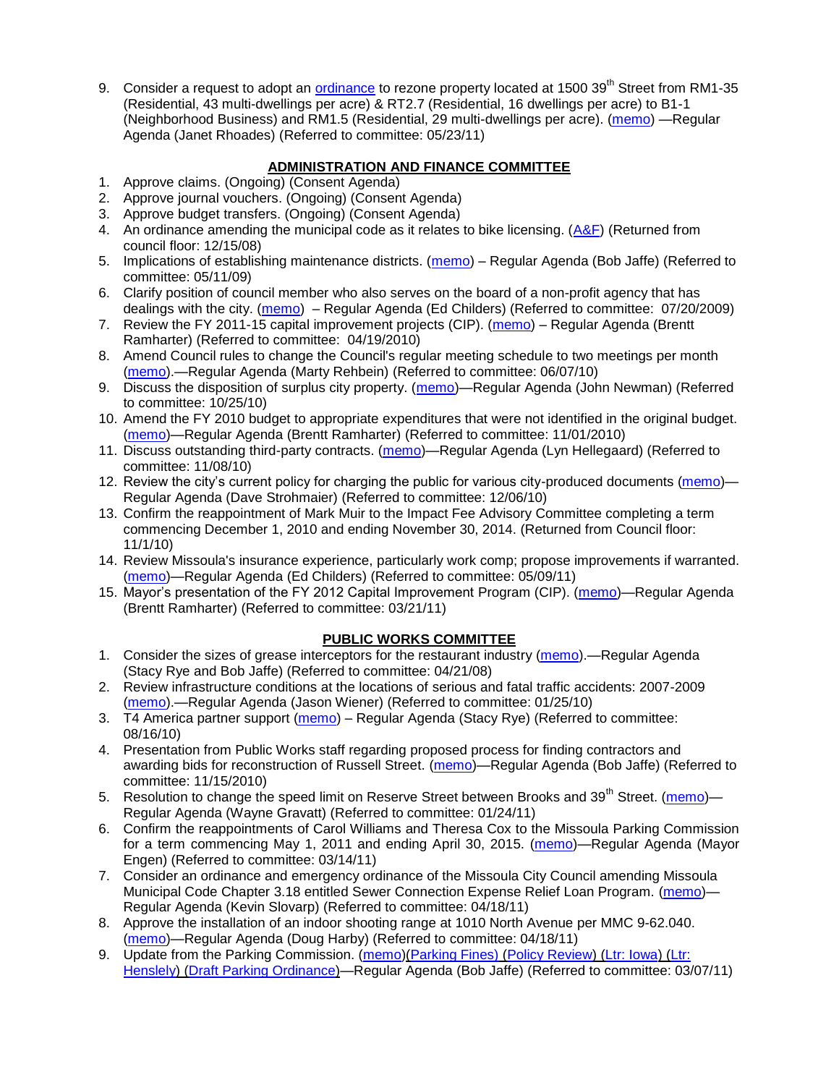9. Consider a request to adopt an [ordinance](http://www.ci.missoula.mt.us/DocumentView.aspx?DID=6463) to rezone property located at 1500 39<sup>th</sup> Street from RM1-35 (Residential, 43 multi-dwellings per acre) & RT2.7 (Residential, 16 dwellings per acre) to B1-1 (Neighborhood Business) and RM1.5 (Residential, 29 multi-dwellings per acre). [\(memo\)](http://www.ci.missoula.mt.us/DocumentView.aspx?DID=6469) —Regular Agenda (Janet Rhoades) (Referred to committee: 05/23/11)

### **ADMINISTRATION AND FINANCE COMMITTEE**

- 1. Approve claims. (Ongoing) (Consent Agenda)
- 2. Approve journal vouchers. (Ongoing) (Consent Agenda)
- 3. Approve budget transfers. (Ongoing) (Consent Agenda)
- 4. An ordinance amending the municipal code as it relates to bike licensing. [\(A&F\)](ftp://ftp.ci.missoula.mt.us/Packets/Council/2008/2008-12-15/081210af.pdf) (Returned from council floor: 12/15/08)
- 5. Implications of establishing maintenance districts. [\(memo\)](ftp://ftp.ci.missoula.mt.us/Packets/Council/2009/2009-05-11/Referrals/MaintenanceDistricts.pdf) Regular Agenda (Bob Jaffe) (Referred to committee: 05/11/09)
- 6. Clarify position of council member who also serves on the board of a non-profit agency that has dealings with the city. [\(memo\)](http://www.ci.missoula.mt.us/DocumentView.aspx?DID=1840) – Regular Agenda (Ed Childers) (Referred to committee: 07/20/2009)
- 7. Review the FY 2011-15 capital improvement projects (CIP). [\(memo\)](http://www.ci.missoula.mt.us/DocumentView.aspx?DID=3522) Regular Agenda (Brentt Ramharter) (Referred to committee: 04/19/2010)
- 8. Amend Council rules to change the Council's regular meeting schedule to two meetings per month [\(memo\)](http://www.ci.missoula.mt.us/DocumentView.aspx?DID=4027).—Regular Agenda (Marty Rehbein) (Referred to committee: 06/07/10)
- 9. Discuss the disposition of surplus city property. [\(memo\)](http://www.ci.missoula.mt.us/DocumentView.aspx?DID=4862)—Regular Agenda (John Newman) (Referred to committee: 10/25/10)
- 10. Amend the FY 2010 budget to appropriate expenditures that were not identified in the original budget. [\(memo\)](http://www.ci.missoula.mt.us/DocumentView.aspx?DID=4883)—Regular Agenda (Brentt Ramharter) (Referred to committee: 11/01/2010)
- 11. Discuss outstanding third-party contracts. [\(memo\)](http://www.ci.missoula.mt.us/DocumentView.aspx?DID=4956)—Regular Agenda (Lyn Hellegaard) (Referred to committee: 11/08/10)
- 12. Review the city's current policy for charging the public for various city-produced documents [\(memo\)](http://www.ci.missoula.mt.us/DocumentView.aspx?DID=5143) Regular Agenda (Dave Strohmaier) (Referred to committee: 12/06/10)
- 13. Confirm the reappointment of Mark Muir to the Impact Fee Advisory Committee completing a term commencing December 1, 2010 and ending November 30, 2014. (Returned from Council floor: 11/1/10)
- 14. Review Missoula's insurance experience, particularly work comp; propose improvements if warranted. [\(memo\)](http://www.ci.missoula.mt.us/DocumentView.aspx?DID=6381)—Regular Agenda (Ed Childers) (Referred to committee: 05/09/11)
- 15. Mayor's presentation of the FY 2012 Capital Improvement Program (CIP). [\(memo\)](http://www.ci.missoula.mt.us/DocumentView.aspx?DID=5789)—Regular Agenda (Brentt Ramharter) (Referred to committee: 03/21/11)

## **PUBLIC WORKS COMMITTEE**

- 1. Consider the sizes of grease interceptors for the restaurant industry [\(memo\)](ftp://ftp.ci.missoula.mt.us/Packets/Council/2008/2008-04-21/Referrals/Industrial_waste_restaurants.pdf).—Regular Agenda (Stacy Rye and Bob Jaffe) (Referred to committee: 04/21/08)
- 2. Review infrastructure conditions at the locations of serious and fatal traffic accidents: 2007-2009 [\(memo\)](http://www.ci.missoula.mt.us/DocumentView.aspx?DID=3031).—Regular Agenda (Jason Wiener) (Referred to committee: 01/25/10)
- 3. T4 America partner support [\(memo\)](http://www.ci.missoula.mt.us/DocumentView.aspx?DID=4452) Regular Agenda (Stacy Rye) (Referred to committee: 08/16/10)
- 4. Presentation from Public Works staff regarding proposed process for finding contractors and awarding bids for reconstruction of Russell Street. [\(memo\)](http://www.ci.missoula.mt.us/DocumentView.aspx?DID=5042)—Regular Agenda (Bob Jaffe) (Referred to committee: 11/15/2010)
- 5. Resolution to change the speed limit on Reserve Street between Brooks and 39<sup>th</sup> Street. [\(memo\)](http://www.ci.missoula.mt.us/DocumentView.aspx?DID=5418) Regular Agenda (Wayne Gravatt) (Referred to committee: 01/24/11)
- 6. Confirm the reappointments of Carol Williams and Theresa Cox to the Missoula Parking Commission for a term commencing May 1, 2011 and ending April 30, 2015. [\(memo\)](http://www.ci.missoula.mt.us/DocumentView.aspx?DID=5727)—Regular Agenda (Mayor Engen) (Referred to committee: 03/14/11)
- 7. Consider an ordinance and emergency ordinance of the Missoula City Council amending Missoula Municipal Code Chapter 3.18 entitled Sewer Connection Expense Relief Loan Program. [\(memo\)](http://www.ci.missoula.mt.us/DocumentView.aspx?DID=6161)— Regular Agenda (Kevin Slovarp) (Referred to committee: 04/18/11)
- 8. Approve the installation of an indoor shooting range at 1010 North Avenue per MMC 9-62.040. [\(memo\)](http://www.ci.missoula.mt.us/DocumentView.aspx?DID=6173)—Regular Agenda (Doug Harby) (Referred to committee: 04/18/11)
- 9. Update from the Parking Commission. [\(memo\)](http://www.ci.missoula.mt.us/DocumentView.aspx?DID=5666)[\(Parking Fines\)](http://www.ci.missoula.mt.us/DocumentView.aspx?DID=5802) [\(Policy Review\)](http://www.ci.missoula.mt.us/DocumentView.aspx?DID=5799) [\(Ltr: Iowa\)](http://www.ci.missoula.mt.us/DocumentView.aspx?DID=5803) [\(Ltr:](http://www.ci.missoula.mt.us/DocumentView.aspx?DID=5804)  [Henslely\)](http://www.ci.missoula.mt.us/DocumentView.aspx?DID=5804) [\(Draft Parking Ordinance\)](http://www.ci.missoula.mt.us/DocumentView.aspx?DID=6057)—Regular Agenda (Bob Jaffe) (Referred to committee: 03/07/11)